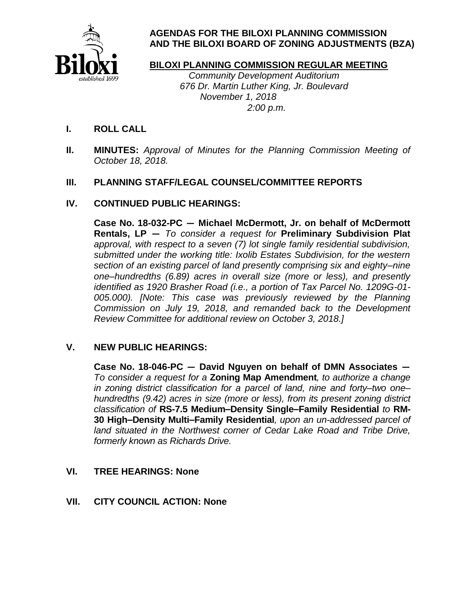

# **AGENDAS FOR THE BILOXI PLANNING COMMISSION AND THE BILOXI BOARD OF ZONING ADJUSTMENTS (BZA)**

# **BILOXI PLANNING COMMISSION REGULAR MEETING**

 Community Development Auditorium 676 Dr. Martin Luther King, Jr. Boulevard November 1, 2018 2:00 p.m.

- **I. ROLL CALL**
- **II. MINUTES:** Approval of Minutes for the Planning Commission Meeting of October 18, 2018.

## **III. PLANNING STAFF/LEGAL COUNSEL/COMMITTEE REPORTS**

## **IV. CONTINUED PUBLIC HEARINGS:**

**Case No. 18-032-PC — Michael McDermott, Jr. on behalf of McDermott Rentals, LP —** To consider a request for **Preliminary Subdivision Plat**  approval, with respect to a seven (7) lot single family residential subdivision, submitted under the working title: Ixolib Estates Subdivision, for the western section of an existing parcel of land presently comprising six and eighty–nine one–hundredths (6.89) acres in overall size (more or less), and presently identified as 1920 Brasher Road (i.e., a portion of Tax Parcel No. 1209G-01- 005.000). [Note: This case was previously reviewed by the Planning Commission on July 19, 2018, and remanded back to the Development Review Committee for additional review on October 3, 2018.]

## **V. NEW PUBLIC HEARINGS:**

**Case No. 18-046-PC — David Nguyen on behalf of DMN Associates —** To consider a request for a **Zoning Map Amendment**, to authorize a change in zoning district classification for a parcel of land, nine and forty–two one– hundredths (9.42) acres in size (more or less), from its present zoning district classification of **RS-7.5 Medium–Density Single–Family Residential** to **RM-30 High–Density Multi–Family Residential**, upon an un-addressed parcel of land situated in the Northwest corner of Cedar Lake Road and Tribe Drive, formerly known as Richards Drive*.*

## **VI. TREE HEARINGS: None**

**VII. CITY COUNCIL ACTION: None**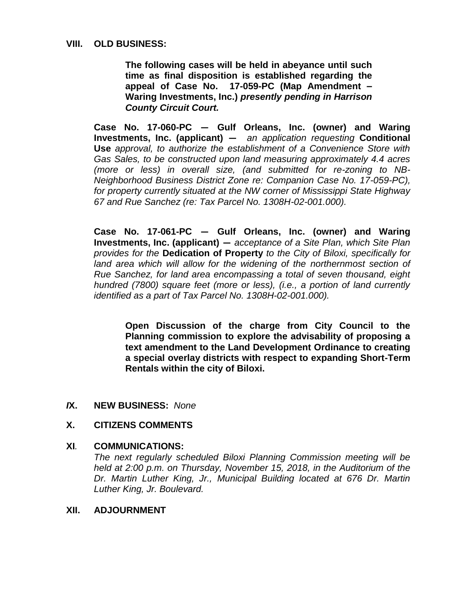#### **VIII. OLD BUSINESS:**

**The following cases will be held in abeyance until such time as final disposition is established regarding the appeal of Case No. 17-059-PC (Map Amendment – Waring Investments, Inc.)** *presently pending in Harrison County Circuit Court.*

**Case No. 17-060-PC — Gulf Orleans, Inc. (owner) and Waring Investments, Inc. (applicant) —** an application requesting **Conditional Use** approval, to authorize the establishment of a Convenience Store with Gas Sales, to be constructed upon land measuring approximately 4.4 acres (more or less) in overall size, (and submitted for re-zoning to NB-Neighborhood Business District Zone re: Companion Case No. 17-059-PC), for property currently situated at the NW corner of Mississippi State Highway 67 and Rue Sanchez (re: Tax Parcel No. 1308H-02-001.000).

**Case No. 17-061-PC — Gulf Orleans, Inc. (owner) and Waring Investments, Inc. (applicant) —** acceptance of a Site Plan, which Site Plan provides for the **Dedication of Property** to the City of Biloxi, specifically for land area which will allow for the widening of the northernmost section of Rue Sanchez, for land area encompassing a total of seven thousand, eight hundred (7800) square feet (more or less), (i.e., a portion of land currently identified as a part of Tax Parcel No. 1308H-02-001.000).

**Open Discussion of the charge from City Council to the Planning commission to explore the advisability of proposing a text amendment to the Land Development Ordinance to creating a special overlay districts with respect to expanding Short-Term Rentals within the city of Biloxi.**

#### *I***X. NEW BUSINESS:** None

## **X. CITIZENS COMMENTS**

#### **XI***.* **COMMUNICATIONS:**

The next regularly scheduled Biloxi Planning Commission meeting will be held at 2:00 p.m. on Thursday, November 15, 2018, in the Auditorium of the Dr. Martin Luther King, Jr., Municipal Building located at 676 Dr. Martin Luther King, Jr. Boulevard.

#### **XII. ADJOURNMENT**